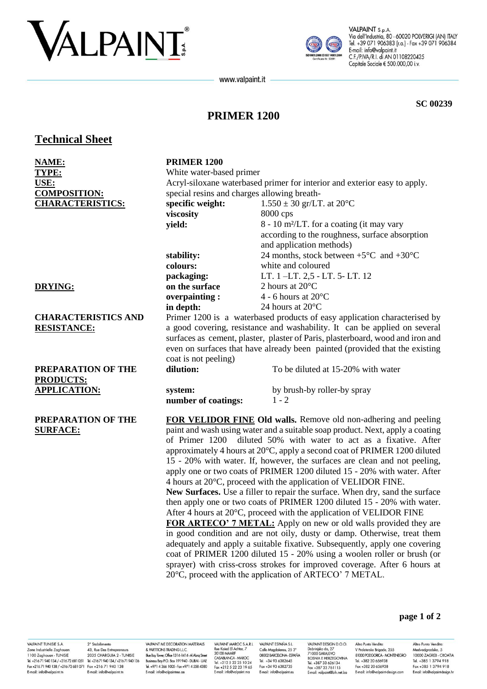# VALPAINT



VALPAINT S.p.A. Via dell'Industria, 80 - 60020 POLVERIGI (AN) ITALY Tel. +39 071 906383 (r.a.) - Fax +39 071 906384 E-mail: info@valpaint.it C.F./P.IVA/R.I. di AN 01108220425 Capitale Sociale € 500.000,00 i.v.

www.valpaint.it

**SC 00239** 

## **PRIMER 1200**

**Technical Sheet** 

| <b>NAME:</b>               | <b>PRIMER 1200</b>                                                                                                                                                                                                                                                                                                                                                                                                                                                                                                                            |                                                                                |
|----------------------------|-----------------------------------------------------------------------------------------------------------------------------------------------------------------------------------------------------------------------------------------------------------------------------------------------------------------------------------------------------------------------------------------------------------------------------------------------------------------------------------------------------------------------------------------------|--------------------------------------------------------------------------------|
| TYPE:                      | White water-based primer                                                                                                                                                                                                                                                                                                                                                                                                                                                                                                                      |                                                                                |
| USE:                       | Acryl-siloxane waterbased primer for interior and exterior easy to apply.                                                                                                                                                                                                                                                                                                                                                                                                                                                                     |                                                                                |
| <b>COMPOSITION:</b>        | special resins and charges allowing breath-                                                                                                                                                                                                                                                                                                                                                                                                                                                                                                   |                                                                                |
| <b>CHARACTERISTICS:</b>    | specific weight:                                                                                                                                                                                                                                                                                                                                                                                                                                                                                                                              | $1.550 \pm 30$ gr/LT. at 20°C                                                  |
|                            | viscosity                                                                                                                                                                                                                                                                                                                                                                                                                                                                                                                                     | 8000 cps                                                                       |
|                            | yield:                                                                                                                                                                                                                                                                                                                                                                                                                                                                                                                                        | 8 - 10 m <sup>2</sup> /LT. for a coating (it may vary                          |
|                            |                                                                                                                                                                                                                                                                                                                                                                                                                                                                                                                                               | according to the roughness, surface absorption                                 |
|                            |                                                                                                                                                                                                                                                                                                                                                                                                                                                                                                                                               | and application methods)                                                       |
|                            | stability:                                                                                                                                                                                                                                                                                                                                                                                                                                                                                                                                    | 24 months, stock between $+5^{\circ}$ C and $+30^{\circ}$ C                    |
|                            | colours:                                                                                                                                                                                                                                                                                                                                                                                                                                                                                                                                      | white and coloured                                                             |
|                            | packaging:                                                                                                                                                                                                                                                                                                                                                                                                                                                                                                                                    | LT. 1-LT. 2,5 - LT. 5- LT. 12                                                  |
| <b>DRYING:</b>             | on the surface                                                                                                                                                                                                                                                                                                                                                                                                                                                                                                                                | 2 hours at 20°C                                                                |
|                            | overpainting:                                                                                                                                                                                                                                                                                                                                                                                                                                                                                                                                 | 4 - 6 hours at $20^{\circ}$ C                                                  |
|                            | in depth:                                                                                                                                                                                                                                                                                                                                                                                                                                                                                                                                     | 24 hours at 20°C                                                               |
| <b>CHARACTERISTICS AND</b> | Primer 1200 is a waterbased products of easy application characterised by                                                                                                                                                                                                                                                                                                                                                                                                                                                                     |                                                                                |
| <b>RESISTANCE:</b>         | a good covering, resistance and washability. It can be applied on several                                                                                                                                                                                                                                                                                                                                                                                                                                                                     |                                                                                |
|                            |                                                                                                                                                                                                                                                                                                                                                                                                                                                                                                                                               | surfaces as cement, plaster, plaster of Paris, plasterboard, wood and iron and |
|                            |                                                                                                                                                                                                                                                                                                                                                                                                                                                                                                                                               | even on surfaces that have already been painted (provided that the existing    |
|                            | coat is not peeling)                                                                                                                                                                                                                                                                                                                                                                                                                                                                                                                          |                                                                                |
| PREPARATION OF THE         | dilution:                                                                                                                                                                                                                                                                                                                                                                                                                                                                                                                                     | To be diluted at 15-20% with water                                             |
| <b>PRODUCTS:</b>           |                                                                                                                                                                                                                                                                                                                                                                                                                                                                                                                                               |                                                                                |
| <b>APPLICATION:</b>        | system:                                                                                                                                                                                                                                                                                                                                                                                                                                                                                                                                       | by brush-by roller-by spray                                                    |
|                            | number of coatings:                                                                                                                                                                                                                                                                                                                                                                                                                                                                                                                           | $1 - 2$                                                                        |
| PREPARATION OF THE         |                                                                                                                                                                                                                                                                                                                                                                                                                                                                                                                                               | FOR VELIDOR FINE Old walls. Remove old non-adhering and peeling                |
| <b>SURFACE:</b>            | paint and wash using water and a suitable soap product. Next, apply a coating<br>diluted 50% with water to act as a fixative. After<br>of Primer 1200<br>approximately 4 hours at 20°C, apply a second coat of PRIMER 1200 diluted<br>15 - 20% with water. If, however, the surfaces are clean and not peeling,<br>apply one or two coats of PRIMER 1200 diluted 15 - 20% with water. After<br>4 hours at 20°C, proceed with the application of VELIDOR FINE.<br>New Surfaces. Use a filler to repair the surface. When dry, sand the surface |                                                                                |
|                            |                                                                                                                                                                                                                                                                                                                                                                                                                                                                                                                                               |                                                                                |
|                            |                                                                                                                                                                                                                                                                                                                                                                                                                                                                                                                                               |                                                                                |
|                            |                                                                                                                                                                                                                                                                                                                                                                                                                                                                                                                                               |                                                                                |
|                            |                                                                                                                                                                                                                                                                                                                                                                                                                                                                                                                                               |                                                                                |
|                            |                                                                                                                                                                                                                                                                                                                                                                                                                                                                                                                                               |                                                                                |
|                            |                                                                                                                                                                                                                                                                                                                                                                                                                                                                                                                                               |                                                                                |
|                            | then apply one or two coats of PRIMER 1200 diluted 15 - 20% with water.                                                                                                                                                                                                                                                                                                                                                                                                                                                                       |                                                                                |
|                            | After 4 hours at 20°C, proceed with the application of VELIDOR FINE                                                                                                                                                                                                                                                                                                                                                                                                                                                                           |                                                                                |
|                            | FOR ARTECO' 7 METAL: Apply on new or old walls provided they are                                                                                                                                                                                                                                                                                                                                                                                                                                                                              |                                                                                |
|                            | in good condition and are not oily, dusty or damp. Otherwise, treat them                                                                                                                                                                                                                                                                                                                                                                                                                                                                      |                                                                                |
|                            | adequately and apply a suitable fixative. Subsequently, apply one covering                                                                                                                                                                                                                                                                                                                                                                                                                                                                    |                                                                                |
|                            |                                                                                                                                                                                                                                                                                                                                                                                                                                                                                                                                               | coat of PRIMER 1200 diluted 15 - 20% using a woolen roller or brush (or        |
|                            |                                                                                                                                                                                                                                                                                                                                                                                                                                                                                                                                               | sprayer) with criss-cross strokes for improved coverage. After 6 hours at      |
|                            |                                                                                                                                                                                                                                                                                                                                                                                                                                                                                                                                               | 20°C, proceed with the application of ARTECO' 7 METAL.                         |

VALPAINT TUNISIE S.A. VALPAINT IUNISIE S.A. 2<sup>2</sup> Stabilimento<br>
2018 Industrielle Zaghouan 43, Rue Des Entrepreneurs<br>
1100 Zaghouan - TUNISIE 2035 CHARGUIA 2 - TUNISIE<br>
Tel. +21671 940 134 / +21672 681 051 - Tel. +21671 940 134<br>
Fax +21671 940 1 E-mail: info@valpaint.tn

2° Stabilimento E-mail: info@valpaint to

VALPAINT ME DECORATION MATERIALS & PARTITIONS TRADING L.L.C.<br>& PARTITIONS TRADING L.L.C.<br>Blue Bay Tower, Office 1314-1414-Al Abraj Street Business Boy PO Box 191940 - DUBAI - UAF Tel. +971 4 366 1005 - Fax +971 4 558 4380 E-mail: info@valpaintme.ae

VALPAINT MAROC S.A.R.L VALPAINT MAROC S.A.R.L<br>Rue Kaied El Achtar, 7<br>20100 MAARIF<br>CASABLANCA - MAROC<br>Tel. +212 5 22 25 10 24<br>Fax +212 5 22 23 19 65<br>E-mail: info@valpaint.ma

VALPAINT ESPAÑA S.L. Calle Magdalenes, 25 3°<br>08002 BARCELONA - ESPAÑA Tel +34 93 6382645 Fax +34 93 6382735 E-mail: info@valpaint.es

VALPAINT DESIGN D.O.O. VALPAINT DESIGN D.O.O.<br>Dobrinjka do, 27<br>71000 SARAJEVO<br>BOSNIA E HERZEGOVINA<br>Tel. +387 33 626134<br>Fax +387 33 761115 E-mail: valpaint@bih.net.ba

Altro Punto Vendita: V Proleterske Brigade, 255<br>81000 PODGORICA - MONTENEGRO Tel +382 20 656938 Fax +382 20 656938 E-mail: info@valpaint-design.com

Altro Punto Vendita: Medvedgradska, 5<br>Nedvedgradska, 5<br>10000 ZAGREB - CROATIA Tel +385 1 3794 918 Fax +385 1 3794 918 E-mail: info@valpaint-design.h

page 1 of 2